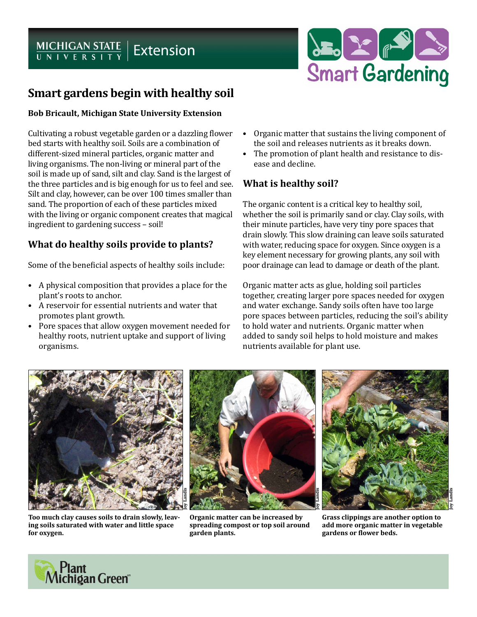# MICHIGAN STATE | Extension



# **Smart gardens begin with healthy soil**

#### **Bob Bricault, Michigan State University Extension**

Cultivating a robust vegetable garden or a dazzling flower bed starts with healthy soil. Soils are a combination of different-sized mineral particles, organic matter and living organisms. The non-living or mineral part of the soil is made up of sand, silt and clay. Sand is the largest of the three particles and is big enough for us to feel and see. Silt and clay, however, can be over 100 times smaller than sand. The proportion of each of these particles mixed with the living or organic component creates that magical ingredient to gardening success – soil!

### **What do healthy soils provide to plants?**

Some of the beneficial aspects of healthy soils include:

- A physical composition that provides a place for the plant's roots to anchor.
- A reservoir for essential nutrients and water that promotes plant growth.
- Pore spaces that allow oxygen movement needed for healthy roots, nutrient uptake and support of living organisms.
- Organic matter that sustains the living component of the soil and releases nutrients as it breaks down.
- The promotion of plant health and resistance to disease and decline.

## **What is healthy soil?**

The organic content is a critical key to healthy soil, whether the soil is primarily sand or clay. Clay soils, with their minute particles, have very tiny pore spaces that drain slowly. This slow draining can leave soils saturated with water, reducing space for oxygen. Since oxygen is a key element necessary for growing plants, any soil with poor drainage can lead to damage or death of the plant.

Organic matter acts as glue, holding soil particles together, creating larger pore spaces needed for oxygen and water exchange. Sandy soils often have too large pore spaces between particles, reducing the soil's ability to hold water and nutrients. Organic matter when added to sandy soil helps to hold moisture and makes nutrients available for plant use.



**Too much clay causes soils to drain slowly, leaving soils saturated with water and little space for oxygen.**

**Organic matter can be increased by spreading compost or top soil around garden plants.**

**Grass clippings are another option to add more organic matter in vegetable gardens or flower beds.**